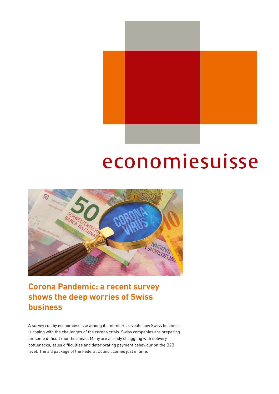

## economiesuisse



Corona Pandemic: a recent survey shows the deep worries of Swiss business

A survey run by economiesuisse among its members reveals how Swiss business is coping with the challenges of the corona crisis. Swiss companies are preparing for some difficult months ahead. Many are already struggling with delivery bottlenecks, sales difficulties and deteriorating payment behaviour on the B2B level. The aid package of the Federal Council comes just in time.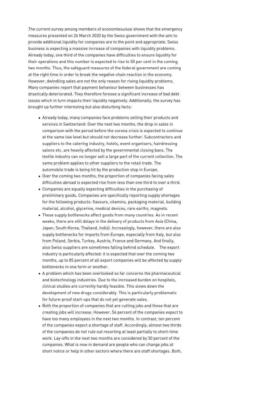The current survey among members of economiesuisse shows that the emergency measures presented on 26 March 2020 by the Swiss government with the aim to provide additional liquidity for companies are to the point and appropriate. Swiss business is expecting a massive increase of companies with liquidity problems. Already today, one third of the companies have difficulties to ensure liquidity for their operations and this number is expected to rise to 50 per cent in the coming two months. Thus, the safeguard measures of the federal government are coming at the right time in order to break the negative chain reaction in the economy. However, dwindling sales are not the only reason for rising liquidity problems. Many companies report that payment behaviour between businesses has drastically deteriorated. They therefore foresee a significant increase of bad debt losses which in turn impacts their liquidity negatively. Additionally, the survey has brought up further interesting but also disturbing facts:

- Already today, many companies face problems selling their products and services in Switzerland. Over the next two months, the drop in sales in comparison with the period before the corona crisis is expected to continue at the same low level but should not decrease further. Subcontractors and suppliers to the catering industry, hotels, event organisers, hairdressing salons etc. are heavily affected by the governmental closing bans. The textile industry can no longer sell a large part of the current collection. The same problem applies to other suppliers to the retail trade. The automobile trade is being hit by the production stop in Europe.
- Over the coming two months, the proportion of companies facing sales difficulties abroad is expected rise from less than one third to over a third.
- Companies are equally expecting difficulties in the purchasing of preliminary goods. Companies are specifically reporting supply shortages for the following products: flavours, vitamins, packaging material, building material, alcohol, glycerine, medical devices, rare earths, magnets.
- These supply bottlenecks affect goods from many countries. As in recent weeks, there are still delays in the delivery of products from Asia (China, Japan, South Korea, Thailand, India). Increasingly, however, there are also supply bottlenecks for imports from Europe, especially from Italy, but also from Poland, Serbia, Turkey, Austria, France and Germany. And finally, also Swiss suppliers are sometimes falling behind schedule. The export industry is particularly affected: it is expected that over the coming two months, up to 85 percent of all export companies will be affected by supply bottlenecks in one form or another.
- A problem which has been overlooked so far concerns the pharmaceutical and biotechnology industries. Due to the increased burden on hospitals, clinical studies are currently hardly feasible. This slows down the development of new drugs considerably. This is particularly problematic for future-proof start-ups that do not yet generate sales.
- Both the proportion of companies that are cutting jobs and those that are creating jobs will increase. However, 56 percent of the companies expect to have too many employees in the next two months. In contrast, ten percent of the companies expect a shortage of staff. Accordingly, almost two thirds of the companies do not rule out resorting at least partially to short-time work. Lay-offs in the next two months are considered by 30 percent of the companies. What is now in demand are people who can change jobs at short notice or help in other sectors where there are staff shortages. Both,